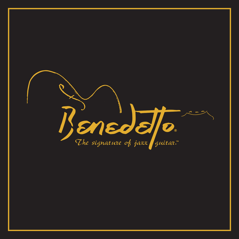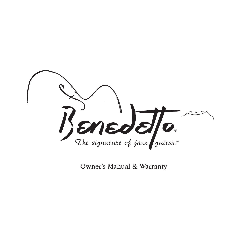

Owner's Manual & Warranty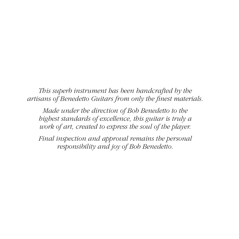*This superb instrument has been handcrafted by the artisans of Benedetto Guitars from only the* f*nest materials.*

*Made under the direction of Bob Benedetto to the highest standards of excellence, this guitar is truly a work of art, created to express the soul of the player.*

*Final inspection and approval remains the personal responsibility and joy of Bob Benedetto.*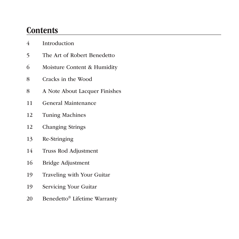## **Contents**

- Introduction
- The Art of Robert Benedetto
- Moisture Content & Humidity
- Cracks in the Wood
- A Note About Lacquer Finishes
- General Maintenance
- Tuning Machines
- Changing Strings
- Re-Stringing
- Truss Rod Adjustment
- Bridge Adjustment
- Traveling with Your Guitar
- Servicing Your Guitar
- Benedetto® Lifetime Warranty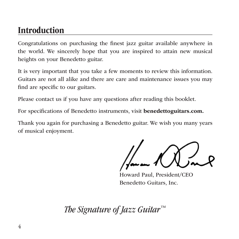## Introduction

Congratulations on purchasing the fnest jazz guitar available anywhere in the world. We sincerely hope that you are inspired to attain new musical heights on your Benedetto guitar.

It is very important that you take a few moments to review this information. Guitars are not all alike and there are care and maintenance issues you may fnd are specifc to our guitars.

Please contact us if you have any questions after reading this booklet.

For specifcations of Benedetto instruments, visit benedettoguitars.com.

Thank you again for purchasing a Benedetto guitar. We wish you many years of musical enjoyment.

Howard Paul, President/CEO Benedetto Guitars, Inc.

*The Signature of Jazz Guitar™*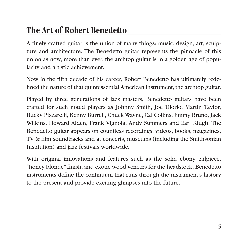## The Art of Robert Benedetto

A fnely crafted guitar is the union of many things: music, design, art, sculpture and architecture. The Benedetto guitar represents the pinnacle of this union as now, more than ever, the archtop guitar is in a golden age of popularity and artistic achievement.

Now in the ffth decade of his career, Robert Benedetto has ultimately redefned the nature of that quintessential American instrument, the archtop guitar.

Played by three generations of jazz masters, Benedetto guitars have been crafted for such noted players as Johnny Smith, Joe Diorio, Martin Taylor, Bucky Pizzarelli, Kenny Burrell, Chuck Wayne, Cal Collins, Jimmy Bruno, Jack Wilkins, Howard Alden, Frank Vignola, Andy Summers and Earl Klugh. The Benedetto guitar appears on countless recordings, videos, books, magazines, TV & flm soundtracks and at concerts, museums (including the Smithsonian Institution) and jazz festivals worldwide.

With original innovations and features such as the solid ebony tailpiece, "honey blonde" fnish, and exotic wood veneers for the headstock, Benedetto instruments defne the continuum that runs through the instrument's history to the present and provide exciting glimpses into the future.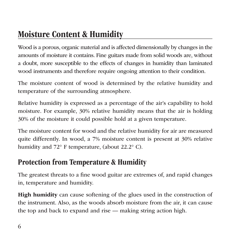Wood is a porous, organic material and is affected dimensionally by changes in the amounts of moisture it contains. Fine guitars made from solid woods are, without a doubt, more susceptible to the effects of changes in humidity than laminated wood instruments and therefore require ongoing attention to their condition.

The moisture content of wood is determined by the relative humidity and temperature of the surrounding atmosphere.

Relative humidity is expressed as a percentage of the air's capability to hold moisture. For example, 30% relative humidity means that the air is holding 30% of the moisture it could possible hold at a given temperature.

The moisture content for wood and the relative humidity for air are measured quite differently. In wood, a 7% moisture content is present at 30% relative humidity and 72° F temperature, (about 22.2° C).

### Protection from Temperature & Humidity

The greatest threats to a fne wood guitar are extremes of, and rapid changes in, temperature and humidity.

High humidity can cause softening of the glues used in the construction of the instrument. Also, as the woods absorb moisture from the air, it can cause the top and back to expand and rise — making string action high.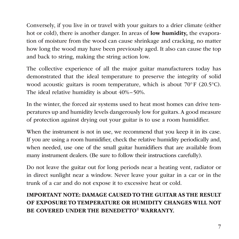Conversely, if you live in or travel with your guitars to a drier climate (either hot or cold), there is another danger. In areas of low humidity, the evaporation of moisture from the wood can cause shrinkage and cracking, no matter how long the wood may have been previously aged. It also can cause the top and back to string, making the string action low.

The collective experience of all the major guitar manufacturers today has demonstrated that the ideal temperature to preserve the integrity of solid wood acoustic guitars is room temperature, which is about 70°F (20.5°C). The ideal relative humidity is about 40%–50%.

In the winter, the forced air systems used to heat most homes can drive temperatures up and humidity levels dangerously low for guitars. A good measure of protection against drying out your guitar is to use a room humidifer.

When the instrument is not in use, we recommend that you keep it in its case. If you are using a room humidifer, check the relative humidity periodically and, when needed, use one of the small guitar humidifers that are available from many instrument dealers. (Be sure to follow their instructions carefully).

Do not leave the guitar out for long periods near a heating vent, radiator or in direct sunlight near a window. Never leave your guitar in a car or in the trunk of a car and do not expose it to excessive heat or cold.

#### IMPORTANT NOTE: DAMAGE CAUSED TO THE GUITAR AS THE RESULT OF EXPOSURE TO TEMPERATURE OR HUMIDITY CHANGES WILL NOT BE COVERED UNDER THE BENEDETTO® WARRANTY.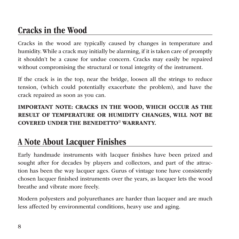# Cracks in the Wood

Cracks in the wood are typically caused by changes in temperature and humidity. While a crack may initially be alarming, if it is taken care of promptly it shouldn't be a cause for undue concern. Cracks may easily be repaired without compromising the structural or tonal integrity of the instrument.

If the crack is in the top, near the bridge, loosen all the strings to reduce tension, (which could potentially exacerbate the problem), and have the crack repaired as soon as you can.

IMPORTANT NOTE: CRACKS IN THE WOOD, WHICH OCCUR AS THE RESULT OF TEMPERATURE OR HUMIDITY CHANGES, WILL NOT BE COVERED UNDER THE BENEDETTO® WARRANTY.

# A Note About Lacquer Finishes

Early handmade instruments with lacquer fnishes have been prized and sought after for decades by players and collectors, and part of the attraction has been the way lacquer ages. Gurus of vintage tone have consistently chosen lacquer fnished instruments over the years, as lacquer lets the wood breathe and vibrate more freely.

Modern polyesters and polyurethanes are harder than lacquer and are much less affected by environmental conditions, heavy use and aging.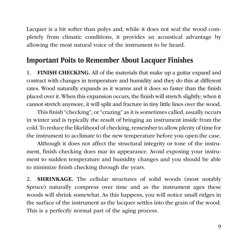Lacquer is a bit softer than polys and, while it does not seal the wood completely from climatic conditions, it provides an acoustical advantage by allowing the most natural voice of the instrument to be heard.

### Important Poits to Remember About Lacquer Finishes

1. FINISH CHECKING. All of the materials that make up a guitar expand and contract with changes in temperature and humidity and they do this at different rates. Wood naturally expands as it warms and it does so faster than the fnish placed over it. When this expansion occurs, the fnish will stretch slightly; when it cannot stretch anymore, it will split and fracture in tiny little lines over the wood.

This fnish "checking", or "crazing" as it is sometimes called, usually occurs in winter and is typically the result of bringing an instrument inside from the cold. To reduce the likelihood of checking, remember to allow plenty of time for the instrument to acclimate to the new temperature before you open the case.

Although it does not affect the structural integrity or tone of the instrument, fnish checking does mar its appearance. Avoid exposing your instrument to sudden temperature and humidity changes and you should be able to minimize fnish checking through the years.

2. SHRINKAGE. The cellular structures of solid woods (most notably Spruce) naturally compress over time and as the instrument ages these woods will shrink somewhat. As this happens, you will notice small ridges in the surface of the instrument as the lacquer settles into the grain of the wood. This is a perfectly normal part of the aging process.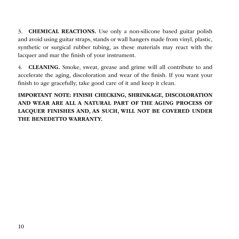3. CHEMICAL REACTIONS. Use only a non-silicone based guitar polish and avoid using guitar straps, stands or wall hangers made from vinyl, plastic, synthetic or surgical rubber tubing, as these materials may react with the lacquer and mar the fnish of your instrument.

4. CLEANING. Smoke, sweat, grease and grime will all contribute to and accelerate the aging, discoloration and wear of the fnish. If you want your fnish to age gracefully, take good care of it and keep it clean.

IMPORTANT NOTE: FINISH CHECKING, SHRINKAGE, DISCOLORATION AND WEAR ARE ALL A NATURAL PART OF THE AGING PROCESS OF LACQUER FINISHES AND, AS SUCH, WILL NOT BE COVERED UNDER THE BENEDETTO WARRANTY.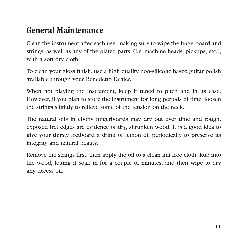## General Maintenance

Clean the instrument after each use, making sure to wipe the fngerboard and strings, as well as any of the plated parts, (i.e. machine heads, pickups, etc.), with a soft dry cloth.

To clean your gloss fnish, use a high quality non-silicone based guitar polish available through your Benedetto Dealer.

When not playing the instrument, keep it tuned to pitch and in its case. However, if you plan to store the instrument for long periods of time, loosen the strings slightly to relieve some of the tension on the neck.

The natural oils in ebony fngerboards may dry out over time and rough, exposed fret edges are evidence of dry, shrunken wood. It is a good idea to give your thirsty fretboard a drink of lemon oil periodically to preserve its integrity and natural beauty.

Remove the strings frst; then apply the oil to a clean lint free cloth. Rub into the wood, letting it soak in for a couple of minutes, and then wipe to dry any excess oil.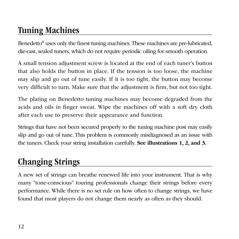# Tuning Machines

Benedetto® uses only the fnest tuning machines. These machines are pre-lubricated, die-cast, sealed tuners, which do not require periodic oiling for smooth operation.

A small tension adjustment screw is located at the end of each tuner's button that also holds the button in place. If the tension is too loose, the machine may slip and go out of tune easily. If it is too tight, the button may become very diffcult to turn. Make sure that the adjustment is frm, but not too tight.

The plating on Benedetto tuning machines may become degraded from the acids and oils in fnger sweat. Wipe the machines off with a soft dry cloth after each use to preserve their appearance and function.

Strings that have not been secured properly to the tuning machine post may easily slip and go out of tune. This problem is commonly misdiagnosed as an issue with the tuners. Check your string installation carefully. See illustrations 1, 2, and 3.

# Changing Strings

A new set of strings can breathe renewed life into your instrument. That is why many "tone-conscious" touring professionals change their strings before every performance. While there is no set rule on how often to change strings, we have found that most players do not change them nearly as often as they should.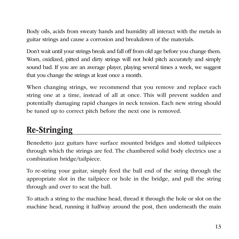Body oils, acids from sweaty hands and humidity all interact with the metals in guitar strings and cause a corrosion and breakdown of the materials.

Don't wait until your strings break and fall off from old age before you change them. Worn, oxidized, pitted and dirty strings will not hold pitch accurately and simply sound bad. If you are an average player, playing several times a week, we suggest that you change the strings at least once a month.

When changing strings, we recommend that you remove and replace each string one at a time, instead of all at once. This will prevent sudden and potentially damaging rapid changes in neck tension. Each new string should be tuned up to correct pitch before the next one is removed.

## Re-Stringing

Benedetto jazz guitars have surface mounted bridges and slotted tailpieces through which the strings are fed. The chambered solid body electrics use a combination bridge/tailpiece.

To re-string your guitar, simply feed the ball end of the string through the appropriate slot in the tailpiece or hole in the bridge, and pull the string through and over to seat the ball.

To attach a string to the machine head, thread it through the hole or slot on the machine head, running it halfway around the post, then underneath the main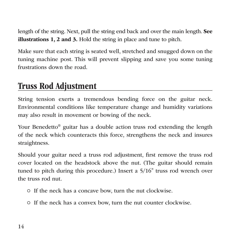length of the string. Next, pull the string end back and over the main length. See illustrations 1, 2 and 3. Hold the string in place and tune to pitch.

Make sure that each string is seated well, stretched and snugged down on the tuning machine post. This will prevent slipping and save you some tuning frustrations down the road.

## Truss Rod Adjustment

String tension exerts a tremendous bending force on the guitar neck. Environmental conditions like temperature change and humidity variations may also result in movement or bowing of the neck.

Your Benedetto® guitar has a double action truss rod extending the length of the neck which counteracts this force, strengthens the neck and insures straightness.

Should your guitar need a truss rod adjustment, frst remove the truss rod cover located on the headstock above the nut. (The guitar should remain tuned to pitch during this procedure.) Insert a 5/16" truss rod wrench over the truss rod nut.

- If the neck has a concave bow, turn the nut clockwise.
- If the neck has a convex bow, turn the nut counter clockwise.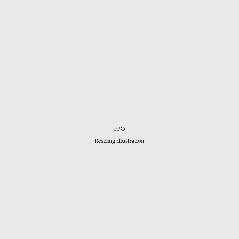FPO

Restring illustration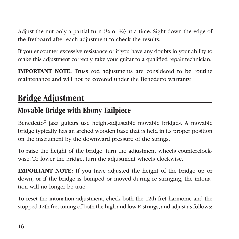Adjust the nut only a partial turn  $(4)$  or  $4/2$  at a time. Sight down the edge of the fretboard after each adjustment to check the results.

If you encounter excessive resistance or if you have any doubts in your ability to make this adjustment correctly, take your guitar to a qualifed repair technician.

IMPORTANT NOTE: Truss rod adjustments are considered to be routine maintenance and will not be covered under the Benedetto warranty.

## Bridge Adjustment

### Movable Bridge with Ebony Tailpiece

Benedetto® jazz guitars use height-adjustable movable bridges. A movable bridge typically has an arched wooden base that is held in its proper position on the instrument by the downward pressure of the strings.

To raise the height of the bridge, turn the adjustment wheels counterclockwise. To lower the bridge, turn the adjustment wheels clockwise.

IMPORTANT NOTE: If you have adjusted the height of the bridge up or down, or if the bridge is bumped or moved during re-stringing, the intonation will no longer be true.

To reset the intonation adjustment, check both the 12th fret harmonic and the stopped 12th fret tuning of both the high and low E-strings, and adjust as follows: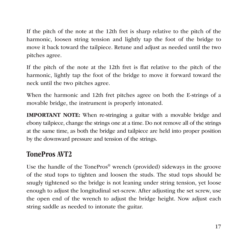If the pitch of the note at the 12th fret is sharp relative to the pitch of the harmonic, loosen string tension and lightly tap the foot of the bridge to move it back toward the tailpiece. Retune and adjust as needed until the two pitches agree.

If the pitch of the note at the 12th fret is fat relative to the pitch of the harmonic, lightly tap the foot of the bridge to move it forward toward the neck until the two pitches agree.

When the harmonic and 12th fret pitches agree on both the E-strings of a movable bridge, the instrument is properly intonated.

IMPORTANT NOTE: When re-stringing a guitar with a movable bridge and ebony tailpiece, change the strings one at a time. Do not remove all of the strings at the same time, as both the bridge and tailpiece are held into proper position by the downward pressure and tension of the strings.

#### TonePros AVT2

Use the handle of the TonePros® wrench (provided) sideways in the groove of the stud tops to tighten and loosen the studs. The stud tops should be snugly tightened so the bridge is not leaning under string tension, yet loose enough to adjust the longitudinal set-screw. After adjusting the set screw, use the open end of the wrench to adjust the bridge height. Now adjust each string saddle as needed to intonate the guitar.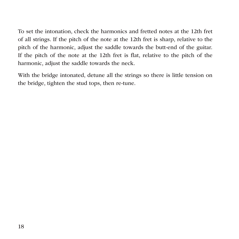To set the intonation, check the harmonics and fretted notes at the 12th fret of all strings. If the pitch of the note at the 12th fret is sharp, relative to the pitch of the harmonic, adjust the saddle towards the butt-end of the guitar. If the pitch of the note at the 12th fret is fat, relative to the pitch of the harmonic, adjust the saddle towards the neck.

With the bridge intonated, detune all the strings so there is little tension on the bridge, tighten the stud tops, then re-tune.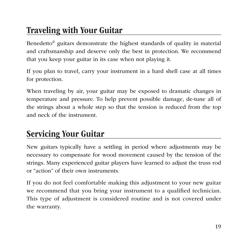# Traveling with Your Guitar

Benedetto® guitars demonstrate the highest standards of quality in material and craftsmanship and deserve only the best in protection. We recommend that you keep your guitar in its case when not playing it.

If you plan to travel, carry your instrument in a hard shell case at all times for protection.

When traveling by air, your guitar may be exposed to dramatic changes in temperature and pressure. To help prevent possible damage, de-tune all of the strings about a whole step so that the tension is reduced from the top and neck of the instrument.

## Servicing Your Guitar

New guitars typically have a settling in period where adjustments may be necessary to compensate for wood movement caused by the tension of the strings. Many experienced guitar players have learned to adjust the truss rod or "action" of their own instruments.

If you do not feel comfortable making this adjustment to your new guitar we recommend that you bring your instrument to a qualifed technician. This type of adjustment is considered routine and is not covered under the warranty.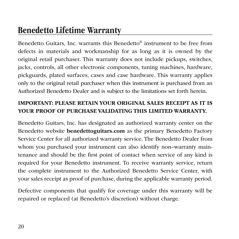## Benedetto Lifetime Warranty

Benedetto Guitars, Inc. warrants this Benedetto® instrument to be free from defects in materials and workmanship for as long as it is owned by the original retail purchaser. This warranty does not include pickups, switches, jacks, controls, all other electronic components, tuning machines, hardware, pickguards, plated surfaces, cases and case hardware. This warranty applies only to the original retail purchaser when this instrument is purchased from an Authorized Benedetto Dealer and is subject to the limitations set forth herein.

#### IMPORTANT: PLEASE RETAIN YOUR ORIGINAL SALES RECEIPT AS IT IS YOUR PROOF OF PURCHASE VALIDATING THIS LIMITED WARRANTY.

Benedetto Guitars, Inc. has designated an authorized warranty center on the Benedetto website benedettoguitars.com as the primary Benedetto Factory Service Center for all authorized warranty service. The Benedetto Dealer from whom you purchased your instrument can also identify non–warranty maintenance and should be the frst point of contact when service of any kind is required for your Benedetto instrument. To receive warranty service, return the complete instrument to the Authorized Benedetto Service Center, with your sales receipt as proof of purchase, during the applicable warranty period.

Defective components that qualify for coverage under this warranty will be repaired or replaced (at Benedetto's discretion) without charge.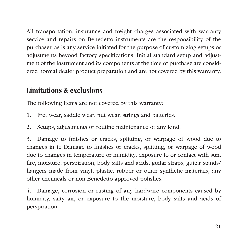All transportation, insurance and freight charges associated with warranty service and repairs on Benedetto instruments are the responsibility of the purchaser, as is any service initiated for the purpose of customizing setups or adjustments beyond factory specifcations. Initial standard setup and adjustment of the instrument and its components at the time of purchase are considered normal dealer product preparation and are not covered by this warranty.

#### Limitations & exclusions

The following items are not covered by this warranty:

- 1. Fret wear, saddle wear, nut wear, strings and batteries.
- 2. Setups, adjustments or routine maintenance of any kind.

3. Damage to fnishes or cracks, splitting, or warpage of wood due to changes in te Damage to fnishes or cracks, splitting, or warpage of wood due to changes in temperature or humidity, exposure to or contact with sun, fre, moisture, perspiration, body salts and acids, guitar straps, guitar stands/ hangers made from vinyl, plastic, rubber or other synthetic materials, any other chemicals or non-Benedetto-approved polishes.

4. Damage, corrosion or rusting of any hardware components caused by humidity, salty air, or exposure to the moisture, body salts and acids of perspiration.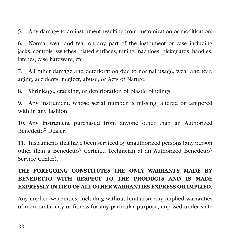5. Any damage to an instrument resulting from customization or modifcation.

6. Normal wear and tear on any part of the instrument or case including jacks, controls, switches, plated surfaces, tuning machines, pickguards, handles, latches, case hardware, etc.

7. All other damage and deterioration due to normal usage, wear and tear, aging, accidents, neglect, abuse, or Acts of Nature.

8. Shrinkage, cracking, or deterioration of plastic bindings.

9. Any instrument, whose serial number is missing, altered or tampered with in any fashion.

10. Any instrument purchased from anyone other than an Authorized Benedetto® Dealer.

11. Instruments that have been serviced by unauthorized persons (any person other than a Benedetto® Certifed Technician at an Authorized Benedetto® Service Center).

#### THE FOREGOING CONSTITUTES THE ONLY WARRANTY MADE BY BENEDETTO WITH RESPECT TO THE PRODUCTS AND IS MADE EXPRESSLY IN LIEU OF ALL OTHER WARRANTIES EXPRESS OR IMPLIED.

Any implied warranties, including without limitation, any implied warranties of merchantability or ftness for any particular purpose, imposed under state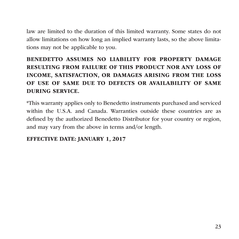law are limited to the duration of this limited warranty. Some states do not allow limitations on how long an implied warranty lasts, so the above limitations may not be applicable to you.

#### BENEDETTO ASSUMES NO LIABILITY FOR PROPERTY DAMAGE RESULTING FROM FAILURE OF THIS PRODUCT NOR ANY LOSS OF INCOME, SATISFACTION, OR DAMAGES ARISING FROM THE LOSS OF USE OF SAME DUE TO DEFECTS OR AVAILABILITY OF SAME DURING SERVICE.

\*This warranty applies only to Benedetto instruments purchased and serviced within the U.S.A. and Canada. Warranties outside these countries are as defned by the authorized Benedetto Distributor for your country or region, and may vary from the above in terms and/or length.

#### EFFECTIVE DATE: JANUARY 1, 2017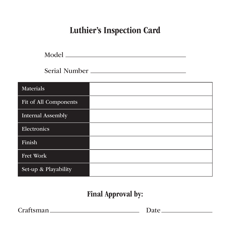# Luthier's Inspection Card

Model

Serial Number

| Materials             |  |
|-----------------------|--|
| Fit of All Components |  |
| Internal Assembly     |  |
| Electronics           |  |
| Finish                |  |
| Fret Work             |  |
| Set-up & Playability  |  |

### Final Approval by:

Craftsman Date